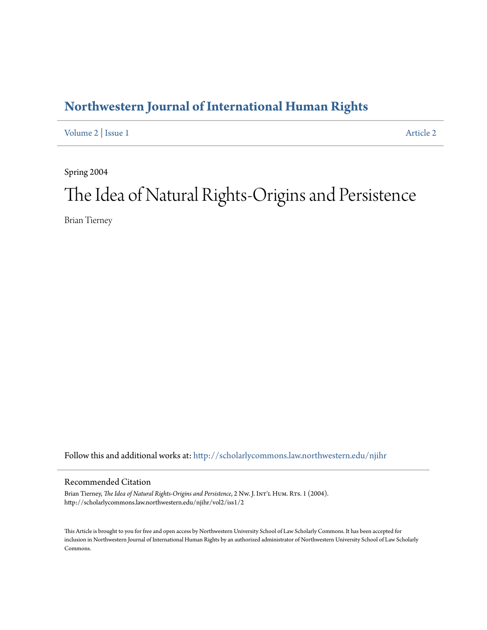## **[Northwestern Journal of International Human Rights](http://scholarlycommons.law.northwestern.edu/njihr?utm_source=scholarlycommons.law.northwestern.edu%2Fnjihr%2Fvol2%2Fiss1%2F2&utm_medium=PDF&utm_campaign=PDFCoverPages)**

[Volume 2](http://scholarlycommons.law.northwestern.edu/njihr/vol2?utm_source=scholarlycommons.law.northwestern.edu%2Fnjihr%2Fvol2%2Fiss1%2F2&utm_medium=PDF&utm_campaign=PDFCoverPages) | [Issue 1](http://scholarlycommons.law.northwestern.edu/njihr/vol2/iss1?utm_source=scholarlycommons.law.northwestern.edu%2Fnjihr%2Fvol2%2Fiss1%2F2&utm_medium=PDF&utm_campaign=PDFCoverPages) [Article 2](http://scholarlycommons.law.northwestern.edu/njihr/vol2/iss1/2?utm_source=scholarlycommons.law.northwestern.edu%2Fnjihr%2Fvol2%2Fiss1%2F2&utm_medium=PDF&utm_campaign=PDFCoverPages)

Spring 2004

# The Idea of Natural Rights-Origins and Persistence

Brian Tierney

Follow this and additional works at: [http://scholarlycommons.law.northwestern.edu/njihr](http://scholarlycommons.law.northwestern.edu/njihr?utm_source=scholarlycommons.law.northwestern.edu%2Fnjihr%2Fvol2%2Fiss1%2F2&utm_medium=PDF&utm_campaign=PDFCoverPages)

#### Recommended Citation

Brian Tierney, *The Idea of Natural Rights-Origins and Persistence*, 2 Nw. J. Int'L HUM. Rts. 1 (2004). http://scholarlycommons.law.northwestern.edu/njihr/vol2/iss1/2

This Article is brought to you for free and open access by Northwestern University School of Law Scholarly Commons. It has been accepted for inclusion in Northwestern Journal of International Human Rights by an authorized administrator of Northwestern University School of Law Scholarly Commons.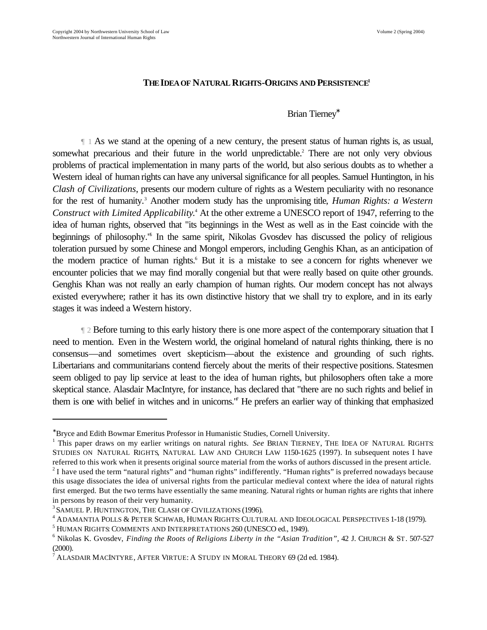#### **THE IDEA OF NATURAL RIGHTS-ORIGINS AND PERSISTENCE<sup>1</sup>**

### Brian Tierney<sup>∗</sup>

 ¶ 1 As we stand at the opening of a new century, the present status of human rights is, as usual, somewhat precarious and their future in the world unpredictable.<sup>2</sup> There are not only very obvious problems of practical implementation in many parts of the world, but also serious doubts as to whether a Western ideal of human rights can have any universal significance for all peoples. Samuel Huntington, in his *Clash of Civilizations*, presents our modern culture of rights as a Western peculiarity with no resonance for the rest of humanity.<sup>3</sup> Another modern study has the unpromising title, *Human Rights: a Western* Construct with Limited Applicability.<sup>4</sup> At the other extreme a UNESCO report of 1947, referring to the idea of human rights, observed that "its beginnings in the West as well as in the East coincide with the beginnings of philosophy.<sup>16</sup> In the same spirit, Nikolas Gvosdev has discussed the policy of religious toleration pursued by some Chinese and Mongol emperors, including Genghis Khan, as an anticipation of the modern practice of human rights.<sup>6</sup> But it is a mistake to see a concern for rights whenever we encounter policies that we may find morally congenial but that were really based on quite other grounds. Genghis Khan was not really an early champion of human rights. Our modern concept has not always existed everywhere; rather it has its own distinctive history that we shall try to explore, and in its early stages it was indeed a Western history.

 ¶ 2 Before turning to this early history there is one more aspect of the contemporary situation that I need to mention. Even in the Western world, the original homeland of natural rights thinking, there is no consensus—and sometimes overt skepticism—about the existence and grounding of such rights. Libertarians and communitarians contend fiercely about the merits of their respective positions. Statesmen seem obliged to pay lip service at least to the idea of human rights, but philosophers often take a more skeptical stance. Alasdair MacIntyre, for instance, has declared that "there are no such rights and belief in them is one with belief in witches and in unicorns.<sup>"</sup> He prefers an earlier way of thinking that emphasized

<sup>∗</sup>Bryce and Edith Bowmar Emeritus Professor in Humanistic Studies, Cornell University.

<sup>&</sup>lt;sup>1</sup> This paper draws on my earlier writings on natural rights. *See* BRIAN TIERNEY, THE IDEA OF NATURAL RIGHTS: STUDIES ON NATURAL RIGHTS, NATURAL LAW AND CHURCH LAW 1150-1625 (1997). In subsequent notes I have referred to this work when it presents original source material from the works of authors discussed in the present article.

 $2^2$ I have used the term "natural rights" and "human rights" indifferently. "Human rights" is preferred nowadays because this usage dissociates the idea of universal rights from the particular medieval context where the idea of natural rights first emerged. But the two terms have essentially the same meaning. Natural rights or human rights are rights that inhere in persons by reason of their very humanity.

<sup>3</sup> SAMUEL P. HUNTINGTON, THE CLASH OF CIVILIZATIONS (1996).

<sup>4</sup> ADAMANTIA POLLS & PETER SCHWAB, HUMAN RIGHTS: CULTURAL AND IDEOLOGICAL PERSPECTIVES 1-18 (1979).

<sup>5</sup> HUMAN RIGHTS: COMMENTS AND INTERPRETATIONS 260 (UNESCO ed., 1949).

<sup>6</sup> Nikolas K. Gvosdev, *Finding the Roots of Religions Liberty in the "Asian Tradition",* 42 J. CHURCH & ST. 507-527 (2000).

 $^7$  ALASDAIR MACINTYRE, AFTER VIRTUE: A STUDY IN MORAL THEORY 69 (2d ed. 1984).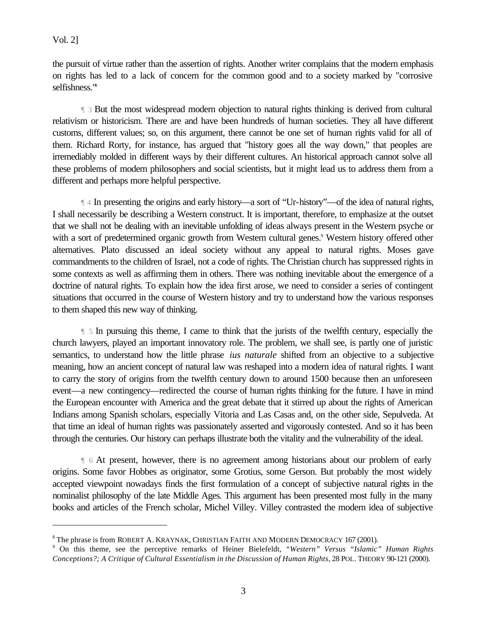$\overline{a}$ 

the pursuit of virtue rather than the assertion of rights. Another writer complains that the modern emphasis on rights has led to a lack of concern for the common good and to a society marked by "corrosive selfishness."<sup>8</sup>

 ¶ 3 But the most widespread modern objection to natural rights thinking is derived from cultural relativism or historicism. There are and have been hundreds of human societies. They all have different customs, different values; so, on this argument, there cannot be one set of human rights valid for all of them. Richard Rorty, for instance, has argued that "history goes all the way down," that peoples are irremediably molded in different ways by their different cultures. An historical approach cannot solve all these problems of modern philosophers and social scientists, but it might lead us to address them from a different and perhaps more helpful perspective.

 ¶ 4 In presenting the origins and early history—a sort of "Ur-history"—of the idea of natural rights, I shall necessarily be describing a Western construct. It is important, therefore, to emphasize at the outset that we shall not be dealing with an inevitable unfolding of ideas always present in the Western psyche or with a sort of predetermined organic growth from Western cultural genes.<sup>9</sup> Western history offered other alternatives. Plato discussed an ideal society without any appeal to natural rights. Moses gave commandments to the children of Israel, not a code of rights. The Christian church has suppressed rights in some contexts as well as affirming them in others. There was nothing inevitable about the emergence of a doctrine of natural rights. To explain how the idea first arose, we need to consider a series of contingent situations that occurred in the course of Western history and try to understand how the various responses to them shaped this new way of thinking.

 ¶ 5 In pursuing this theme, I came to think that the jurists of the twelfth century, especially the church lawyers, played an important innovatory role. The problem, we shall see, is partly one of juristic semantics, to understand how the little phrase *ius naturale* shifted from an objective to a subjective meaning, how an ancient concept of natural law was reshaped into a modern idea of natural rights. I want to carry the story of origins from the twelfth century down to around 1500 because then an unforeseen event—a new contingency—redirected the course of human rights thinking for the future. I have in mind the European encounter with America and the great debate that it stirred up about the rights of American Indians among Spanish scholars, especially Vitoria and Las Casas and, on the other side, Sepulveda. At that time an ideal of human rights was passionately asserted and vigorously contested. And so it has been through the centuries. Our history can perhaps illustrate both the vitality and the vulnerability of the ideal.

 ¶ 6 At present, however, there is no agreement among historians about our problem of early origins. Some favor Hobbes as originator, some Grotius, some Gerson. But probably the most widely accepted viewpoint nowadays finds the first formulation of a concept of subjective natural rights in the nominalist philosophy of the late Middle Ages. This argument has been presented most fully in the many books and articles of the French scholar, Michel Villey. Villey contrasted the modern idea of subjective

 $^8$ The phrase is from ROBERT A. KRAYNAK, CHRISTIAN FAITH AND MODERN DEMOCRACY 167 (2001).

<sup>9</sup> On this theme, see the perceptive remarks of Heiner Bielefeldt, *"Western" Versus "Islamic" Human Rights Conceptions?; A Critique of Cultural Essentialism in the Discussion of Human Rights*, 28 POL. THEORY 90-121 (2000).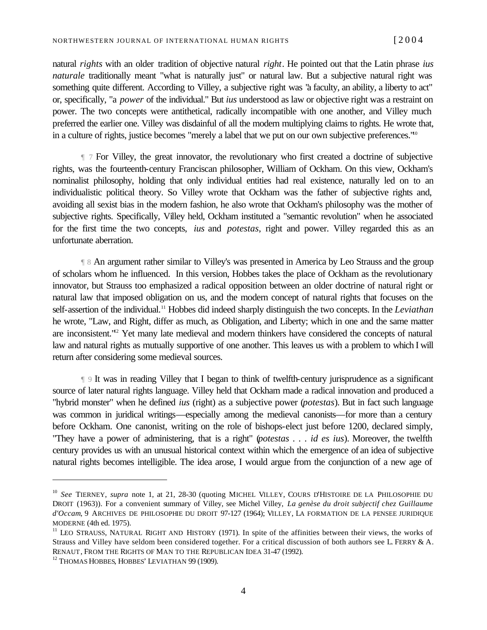natural *rights* with an older tradition of objective natural *right*. He pointed out that the Latin phrase *ius naturale* traditionally meant "what is naturally just" or natural law. But a subjective natural right was something quite different. According to Villey, a subjective right was "a faculty, an ability, a liberty to act" or, specifically, "a *power* of the individual." But *ius* understood as law or objective right was a restraint on power. The two concepts were antithetical, radically incompatible with one another, and Villey much preferred the earlier one. Villey was disdainful of all the modern multiplying claims to rights. He wrote that, in a culture of rights, justice becomes "merely a label that we put on our own subjective preferences."<sup>10</sup>

 ¶ 7 For Villey, the great innovator, the revolutionary who first created a doctrine of subjective rights, was the fourteenth-century Franciscan philosopher, William of Ockham. On this view, Ockham's nominalist philosophy, holding that only individual entities had real existence, naturally led on to an individualistic political theory. So Villey wrote that Ockham was the father of subjective rights and, avoiding all sexist bias in the modern fashion, he also wrote that Ockham's philosophy was the mother of subjective rights. Specifically, Villey held, Ockham instituted a "semantic revolution" when he associated for the first time the two concepts, *ius* and *potestas*, right and power. Villey regarded this as an unfortunate aberration.

 ¶ 8 An argument rather similar to Villey's was presented in America by Leo Strauss and the group of scholars whom he influenced. In this version, Hobbes takes the place of Ockham as the revolutionary innovator, but Strauss too emphasized a radical opposition between an older doctrine of natural right or natural law that imposed obligation on us, and the modern concept of natural rights that focuses on the self-assertion of the individual.<sup>11</sup> Hobbes did indeed sharply distinguish the two concepts. In the *Leviathan* he wrote, "Law, and Right, differ as much, as Obligation, and Liberty; which in one and the same matter are inconsistent."<sup>2</sup> Yet many late medieval and modern thinkers have considered the concepts of natural law and natural rights as mutually supportive of one another. This leaves us with a problem to which I will return after considering some medieval sources.

 ¶ 9 It was in reading Villey that I began to think of twelfth-century jurisprudence as a significant source of later natural rights language. Villey held that Ockham made a radical innovation and produced a "hybrid monster" when he defined *ius* (right) as a subjective power (*potestas*). But in fact such language was common in juridical writings—especially among the medieval canonists—for more than a century before Ockham. One canonist, writing on the role of bishops-elect just before 1200, declared simply, "They have a power of administering, that is a right" (*potestas . . . id es ius*). Moreover, the twelfth century provides us with an unusual historical context within which the emergence of an idea of subjective natural rights becomes intelligible. The idea arose, I would argue from the conjunction of a new age of

<sup>&</sup>lt;sup>10</sup> See TIERNEY, *supra* note 1, at 21, 28-30 (quoting MICHEL VILLEY, COURS D'HISTOIRE DE LA PHILOSOPHIE DU DROIT (1963)). For a convenient summary of Villey, see Michel Villey, *La genèse du droit subjectif chez Guillaume d'Occam*, 9 ARCHIVES DE PHILOSOPHIE DU DROIT 97-127 (1964); VILLEY, LA FORMATION DE LA PENSEE JURIDIQUE MODERNE (4th ed. 1975).

 $11$  LEO STRAUSS, NATURAL RIGHT AND HISTORY (1971). In spite of the affinities between their views, the works of Strauss and Villey have seldom been considered together. For a critical discussion of both authors see L. FERRY & A. RENAUT, FROM THE RIGHTS OF MAN TO THE REPUBLICAN IDEA 31-47 (1992).

<sup>&</sup>lt;sup>12</sup> THOMAS HOBBES, HOBBES' LEVIATHAN 99 (1909).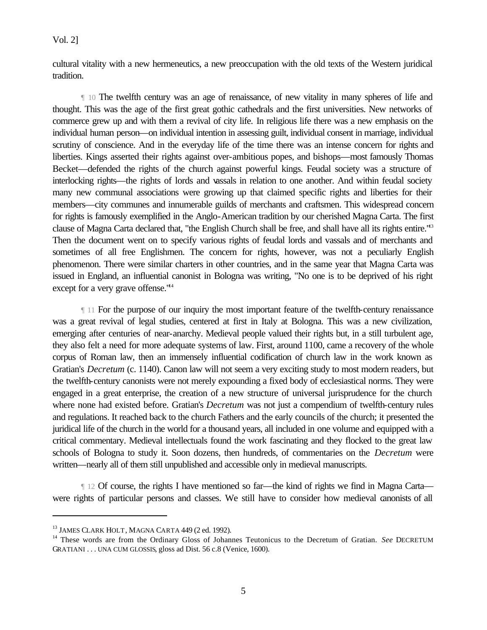cultural vitality with a new hermeneutics, a new preoccupation with the old texts of the Western juridical tradition.

 ¶ 10 The twelfth century was an age of renaissance, of new vitality in many spheres of life and thought. This was the age of the first great gothic cathedrals and the first universities. New networks of commerce grew up and with them a revival of city life. In religious life there was a new emphasis on the individual human person—on individual intention in assessing guilt, individual consent in marriage, individual scrutiny of conscience. And in the everyday life of the time there was an intense concern for rights and liberties. Kings asserted their rights against over-ambitious popes, and bishops—most famously Thomas Becket—defended the rights of the church against powerful kings. Feudal society was a structure of interlocking rights—the rights of lords and vassals in relation to one another. And within feudal society many new communal associations were growing up that claimed specific rights and liberties for their members—city communes and innumerable guilds of merchants and craftsmen. This widespread concern for rights is famously exemplified in the Anglo-American tradition by our cherished Magna Carta. The first clause of Magna Carta declared that, "the English Church shall be free, and shall have all its rights entire."<sup>13</sup> Then the document went on to specify various rights of feudal lords and vassals and of merchants and sometimes of all free Englishmen. The concern for rights, however, was not a peculiarly English phenomenon. There were similar charters in other countries, and in the same year that Magna Carta was issued in England, an influential canonist in Bologna was writing, "No one is to be deprived of his right except for a very grave offense.<sup>"14</sup>

 ¶ 11 For the purpose of our inquiry the most important feature of the twelfth-century renaissance was a great revival of legal studies, centered at first in Italy at Bologna. This was a new civilization, emerging after centuries of near-anarchy. Medieval people valued their rights but, in a still turbulent age, they also felt a need for more adequate systems of law. First, around 1100, came a recovery of the whole corpus of Roman law, then an immensely influential codification of church law in the work known as Gratian's *Decretum* (c. 1140). Canon law will not seem a very exciting study to most modern readers, but the twelfth-century canonists were not merely expounding a fixed body of ecclesiastical norms. They were engaged in a great enterprise, the creation of a new structure of universal jurisprudence for the church where none had existed before. Gratian's *Decretum* was not just a compendium of twelfth-century rules and regulations. It reached back to the church Fathers and the early councils of the church; it presented the juridical life of the church in the world for a thousand years, all included in one volume and equipped with a critical commentary. Medieval intellectuals found the work fascinating and they flocked to the great law schools of Bologna to study it. Soon dozens, then hundreds, of commentaries on the *Decretum* were written—nearly all of them still unpublished and accessible only in medieval manuscripts.

 ¶ 12 Of course, the rights I have mentioned so far—the kind of rights we find in Magna Carta were rights of particular persons and classes. We still have to consider how medieval canonists of all

<sup>&</sup>lt;sup>13</sup> JAMES CLARK HOLT, MAGNA CARTA 449 (2 ed. 1992).

<sup>&</sup>lt;sup>14</sup> These words are from the Ordinary Gloss of Johannes Teutonicus to the Decretum of Gratian. *See* DECRETUM GRATIANI . . . UNA CUM GLOSSIS, gloss ad Dist. 56 c.8 (Venice, 1600).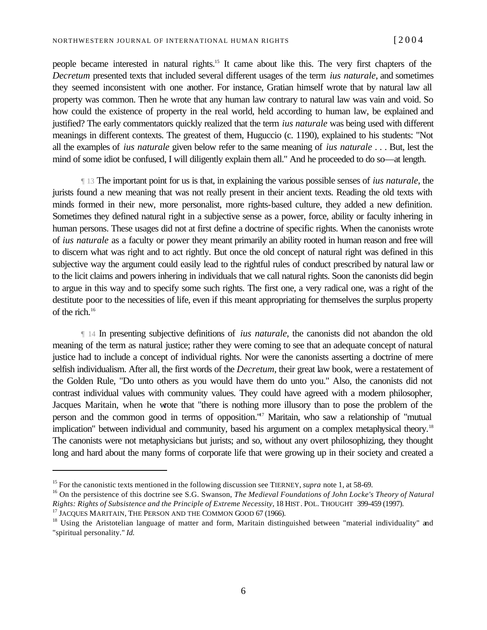people became interested in natural rights.15 It came about like this. The very first chapters of the *Decretum* presented texts that included several different usages of the term *ius naturale*, and sometimes they seemed inconsistent with one another. For instance, Gratian himself wrote that by natural law all property was common. Then he wrote that any human law contrary to natural law was vain and void. So how could the existence of property in the real world, held according to human law, be explained and justified? The early commentators quickly realized that the term *ius naturale* was being used with different meanings in different contexts. The greatest of them, Huguccio (c. 1190), explained to his students: "Not all the examples of *ius naturale* given below refer to the same meaning of *ius naturale* . . . But, lest the mind of some idiot be confused, I will diligently explain them all." And he proceeded to do so—at length.

 ¶ 13 The important point for us is that, in explaining the various possible senses of *ius naturale*, the jurists found a new meaning that was not really present in their ancient texts. Reading the old texts with minds formed in their new, more personalist, more rights-based culture, they added a new definition. Sometimes they defined natural right in a subjective sense as a power, force, ability or faculty inhering in human persons. These usages did not at first define a doctrine of specific rights. When the canonists wrote of *ius naturale* as a faculty or power they meant primarily an ability rooted in human reason and free will to discern what was right and to act rightly. But once the old concept of natural right was defined in this subjective way the argument could easily lead to the rightful rules of conduct prescribed by natural law or to the licit claims and powers inhering in individuals that we call natural rights. Soon the canonists did begin to argue in this way and to specify some such rights. The first one, a very radical one, was a right of the destitute poor to the necessities of life, even if this meant appropriating for themselves the surplus property of the rich.<sup>16</sup>

 ¶ 14 In presenting subjective definitions of *ius naturale*, the canonists did not abandon the old meaning of the term as natural justice; rather they were coming to see that an adequate concept of natural justice had to include a concept of individual rights. Nor were the canonists asserting a doctrine of mere selfish individualism. After all, the first words of the *Decretum*, their great law book, were a restatement of the Golden Rule, "Do unto others as you would have them do unto you." Also, the canonists did not contrast individual values with community values. They could have agreed with a modern philosopher, Jacques Maritain, when he wrote that "there is nothing more illusory than to pose the problem of the person and the common good in terms of opposition."<sup>7</sup> Maritain, who saw a relationship of "mutual implication" between individual and community, based his argument on a complex metaphysical theory.<sup>18</sup> The canonists were not metaphysicians but jurists; and so, without any overt philosophizing, they thought long and hard about the many forms of corporate life that were growing up in their society and created a

<sup>&</sup>lt;sup>15</sup> For the canonistic texts mentioned in the following discussion see TIERNEY, *supra* note 1, at 58-69.

<sup>&</sup>lt;sup>16</sup> On the persistence of this doctrine see S.G. Swanson, *The Medieval Foundations of John Locke's Theory of Natural Rights: Rights of Subsistence and the Principle of Extreme Necessity*, 18 HIST. POL. THOUGHT 399-459 (1997).

<sup>&</sup>lt;sup>17</sup> JACQUES MARITAIN, THE PERSON AND THE COMMON GOOD 67 (1966).

<sup>&</sup>lt;sup>18</sup> Using the Aristotelian language of matter and form, Maritain distinguished between "material individuality" and "spiritual personality." *Id.*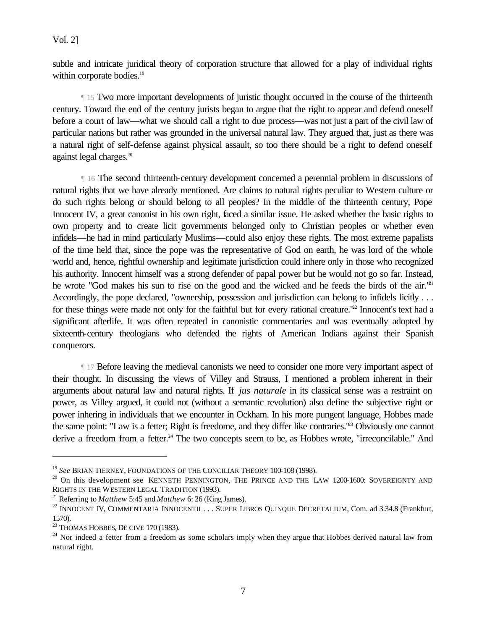subtle and intricate juridical theory of corporation structure that allowed for a play of individual rights within corporate bodies.<sup>19</sup>

 ¶ 15 Two more important developments of juristic thought occurred in the course of the thirteenth century. Toward the end of the century jurists began to argue that the right to appear and defend oneself before a court of law—what we should call a right to due process—was not just a part of the civil law of particular nations but rather was grounded in the universal natural law. They argued that, just as there was a natural right of self-defense against physical assault, so too there should be a right to defend oneself against legal charges.<sup>20</sup>

 ¶ 16 The second thirteenth-century development concerned a perennial problem in discussions of natural rights that we have already mentioned. Are claims to natural rights peculiar to Western culture or do such rights belong or should belong to all peoples? In the middle of the thirteenth century, Pope Innocent IV, a great canonist in his own right, faced a similar issue. He asked whether the basic rights to own property and to create licit governments belonged only to Christian peoples or whether even infidels—he had in mind particularly Muslims—could also enjoy these rights. The most extreme papalists of the time held that, since the pope was the representative of God on earth, he was lord of the whole world and, hence, rightful ownership and legitimate jurisdiction could inhere only in those who recognized his authority. Innocent himself was a strong defender of papal power but he would not go so far. Instead, he wrote "God makes his sun to rise on the good and the wicked and he feeds the birds of the air."<sup>21</sup> Accordingly, the pope declared, "ownership, possession and jurisdiction can belong to infidels licitly . . . for these things were made not only for the faithful but for every rational creature.<sup>"22</sup> Innocent's text had a significant afterlife. It was often repeated in canonistic commentaries and was eventually adopted by sixteenth-century theologians who defended the rights of American Indians against their Spanish conquerors.

 ¶ 17 Before leaving the medieval canonists we need to consider one more very important aspect of their thought. In discussing the views of Villey and Strauss, I mentioned a problem inherent in their arguments about natural law and natural rights. If *jus naturale* in its classical sense was a restraint on power, as Villey argued, it could not (without a semantic revolution) also define the subjective right or power inhering in individuals that we encounter in Ockham. In his more pungent language, Hobbes made the same point: "Law is a fetter; Right is freedome, and they differ like contraries."<sup>23</sup> Obviously one cannot derive a freedom from a fetter.<sup>24</sup> The two concepts seem to be, as Hobbes wrote, "irreconcilable." And

<sup>19</sup> *See* BRIAN TIERNEY, FOUNDATIONS OF THE CONCILIAR THEORY 100-108 (1998).

 $20$  On this development see KENNETH PENNINGTON, THE PRINCE AND THE LAW 1200-1600: SOVEREIGNTY AND RIGHTS IN THE WESTERN LEGAL TRADITION (1993).

<sup>21</sup> Referring to *Matthew* 5:45 and *Matthew* 6: 26 (King James).

<sup>&</sup>lt;sup>22</sup> INNOCENT IV, COMMENTARIA INNOCENTII . . . SUPER LIBROS QUINQUE DECRETALIUM, Com. ad 3.34.8 (Frankfurt, 1570).

<sup>&</sup>lt;sup>23</sup> THOMAS HOBBES, DE CIVE 170 (1983).

 $24$  Nor indeed a fetter from a freedom as some scholars imply when they argue that Hobbes derived natural law from natural right.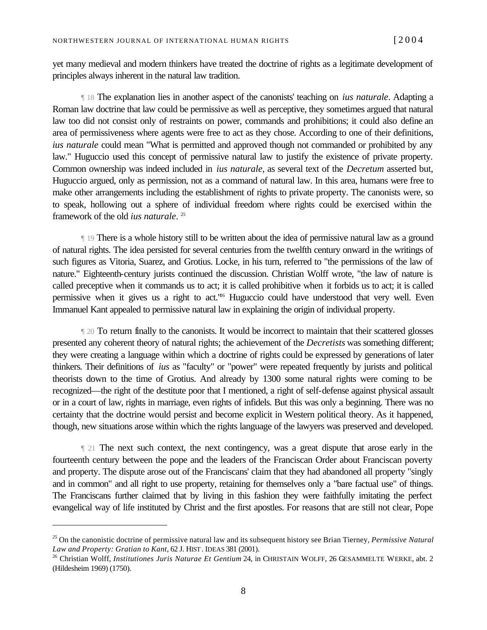yet many medieval and modern thinkers have treated the doctrine of rights as a legitimate development of principles always inherent in the natural law tradition.

 ¶ 18 The explanation lies in another aspect of the canonists' teaching on *ius naturale*. Adapting a Roman law doctrine that law could be permissive as well as perceptive, they sometimes argued that natural law too did not consist only of restraints on power, commands and prohibitions; it could also define an area of permissiveness where agents were free to act as they chose. According to one of their definitions, *ius naturale* could mean "What is permitted and approved though not commanded or prohibited by any law." Huguccio used this concept of permissive natural law to justify the existence of private property. Common ownership was indeed included in *ius naturale*, as several text of the *Decretum* asserted but, Huguccio argued, only as permission, not as a command of natural law. In this area, humans were free to make other arrangements including the establishment of rights to private property. The canonists were, so to speak, hollowing out a sphere of individual freedom where rights could be exercised within the framework of the old *ius naturale*. 25

 ¶ 19 There is a whole history still to be written about the idea of permissive natural law as a ground of natural rights. The idea persisted for several centuries from the twelfth century onward in the writings of such figures as Vitoria, Suarez, and Grotius. Locke, in his turn, referred to "the permissions of the law of nature." Eighteenth-century jurists continued the discussion. Christian Wolff wrote, "the law of nature is called preceptive when it commands us to act; it is called prohibitive when it forbids us to act; it is called permissive when it gives us a right to act.<sup>126</sup> Huguccio could have understood that very well. Even Immanuel Kant appealed to permissive natural law in explaining the origin of individual property.

 ¶ 20 To return finally to the canonists. It would be incorrect to maintain that their scattered glosses presented any coherent theory of natural rights; the achievement of the *Decretists* was something different; they were creating a language within which a doctrine of rights could be expressed by generations of later thinkers. Their definitions of *ius* as "faculty" or "power" were repeated frequently by jurists and political theorists down to the time of Grotius. And already by 1300 some natural rights were coming to be recognized—the right of the destitute poor that I mentioned, a right of self-defense against physical assault or in a court of law, rights in marriage, even rights of infidels. But this was only a beginning. There was no certainty that the doctrine would persist and become explicit in Western political theory. As it happened, though, new situations arose within which the rights language of the lawyers was preserved and developed.

 ¶ 21 The next such context, the next contingency, was a great dispute that arose early in the fourteenth century between the pope and the leaders of the Franciscan Order about Franciscan poverty and property. The dispute arose out of the Franciscans' claim that they had abandoned all property "singly and in common" and all right to use property, retaining for themselves only a "bare factual use" of things. The Franciscans further claimed that by living in this fashion they were faithfully imitating the perfect evangelical way of life instituted by Christ and the first apostles. For reasons that are still not clear, Pope

<sup>25</sup> On the canonistic doctrine of permissive natural law and its subsequent history see Brian Tierney, *Permissive Natural Law and Property: Gratian to Kant*, 62 J. HIST. IDEAS 381 (2001).

<sup>&</sup>lt;sup>26</sup> Christian Wolff, *Institutiones Juris Naturae Et Gentium* 24, in CHRISTAIN WOLFF, 26 GESAMMELTE WERKE, abt. 2 (Hildesheim 1969) (1750).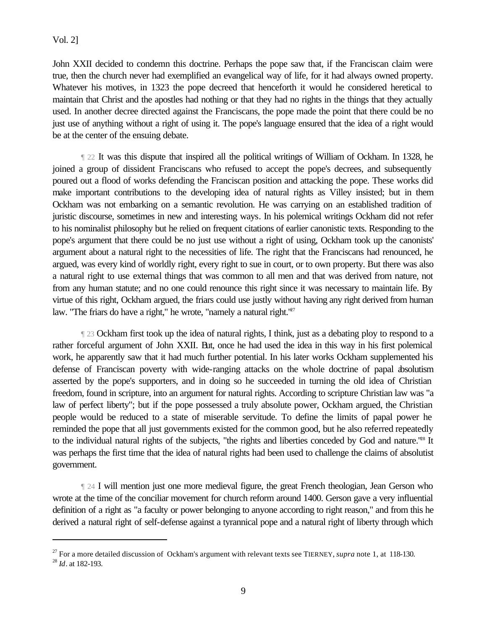John XXII decided to condemn this doctrine. Perhaps the pope saw that, if the Franciscan claim were true, then the church never had exemplified an evangelical way of life, for it had always owned property. Whatever his motives, in 1323 the pope decreed that henceforth it would he considered heretical to maintain that Christ and the apostles had nothing or that they had no rights in the things that they actually used. In another decree directed against the Franciscans, the pope made the point that there could be no just use of anything without a right of using it. The pope's language ensured that the idea of a right would be at the center of the ensuing debate.

 ¶ 22 It was this dispute that inspired all the political writings of William of Ockham. In 1328, he joined a group of dissident Franciscans who refused to accept the pope's decrees, and subsequently poured out a flood of works defending the Franciscan position and attacking the pope. These works did make important contributions to the developing idea of natural rights as Villey insisted; but in them Ockham was not embarking on a semantic revolution. He was carrying on an established tradition of juristic discourse, sometimes in new and interesting ways. In his polemical writings Ockham did not refer to his nominalist philosophy but he relied on frequent citations of earlier canonistic texts. Responding to the pope's argument that there could be no just use without a right of using, Ockham took up the canonists' argument about a natural right to the necessities of life. The right that the Franciscans had renounced, he argued, was every kind of worldly right, every right to sue in court, or to own property. But there was also a natural right to use external things that was common to all men and that was derived from nature, not from any human statute; and no one could renounce this right since it was necessary to maintain life. By virtue of this right, Ockham argued, the friars could use justly without having any right derived from human law. "The friars do have a right," he wrote, "namely a natural right."<sup>27</sup>

 ¶ 23 Ockham first took up the idea of natural rights, I think, just as a debating ploy to respond to a rather forceful argument of John XXII. But, once he had used the idea in this way in his first polemical work, he apparently saw that it had much further potential. In his later works Ockham supplemented his defense of Franciscan poverty with wide-ranging attacks on the whole doctrine of papal absolutism asserted by the pope's supporters, and in doing so he succeeded in turning the old idea of Christian freedom, found in scripture, into an argument for natural rights. According to scripture Christian law was "a law of perfect liberty"; but if the pope possessed a truly absolute power, Ockham argued, the Christian people would be reduced to a state of miserable servitude. To define the limits of papal power he reminded the pope that all just governments existed for the common good, but he also referred repeatedly to the individual natural rights of the subjects, "the rights and liberties conceded by God and nature."<sup>28</sup> It was perhaps the first time that the idea of natural rights had been used to challenge the claims of absolutist government.

 ¶ 24 I will mention just one more medieval figure, the great French theologian, Jean Gerson who wrote at the time of the conciliar movement for church reform around 1400. Gerson gave a very influential definition of a right as "a faculty or power belonging to anyone according to right reason," and from this he derived a natural right of self-defense against a tyrannical pope and a natural right of liberty through which

<sup>27</sup> For a more detailed discussion of Ockham's argument with relevant texts see TIERNEY, *supra* note 1, at 118-130.

<sup>28</sup> *Id*. at 182-193.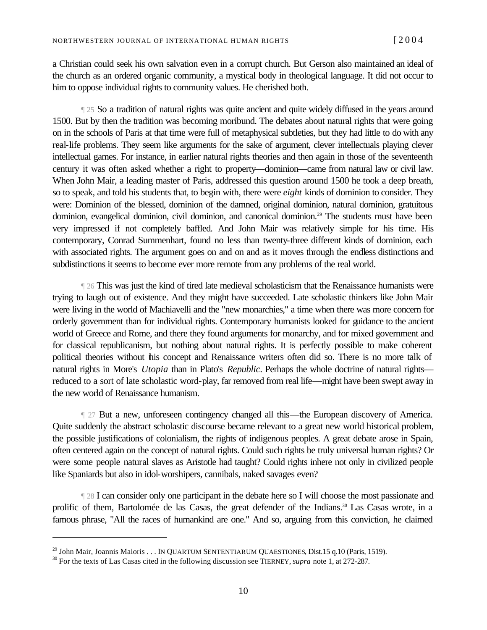a Christian could seek his own salvation even in a corrupt church. But Gerson also maintained an ideal of the church as an ordered organic community, a mystical body in theological language. It did not occur to him to oppose individual rights to community values. He cherished both.

 ¶ 25 So a tradition of natural rights was quite ancient and quite widely diffused in the years around 1500. But by then the tradition was becoming moribund. The debates about natural rights that were going on in the schools of Paris at that time were full of metaphysical subtleties, but they had little to do with any real-life problems. They seem like arguments for the sake of argument, clever intellectuals playing clever intellectual games. For instance, in earlier natural rights theories and then again in those of the seventeenth century it was often asked whether a right to property—dominion—came from natural law or civil law. When John Mair, a leading master of Paris, addressed this question around 1500 he took a deep breath, so to speak, and told his students that, to begin with, there were *eight* kinds of dominion to consider. They were: Dominion of the blessed, dominion of the damned, original dominion, natural dominion, gratuitous dominion, evangelical dominion, civil dominion, and canonical dominion.<sup>29</sup> The students must have been very impressed if not completely baffled. And John Mair was relatively simple for his time. His contemporary, Conrad Summenhart, found no less than twenty-three different kinds of dominion, each with associated rights. The argument goes on and on and as it moves through the endless distinctions and subdistinctions it seems to become ever more remote from any problems of the real world.

 ¶ 26 This was just the kind of tired late medieval scholasticism that the Renaissance humanists were trying to laugh out of existence. And they might have succeeded. Late scholastic thinkers like John Mair were living in the world of Machiavelli and the "new monarchies," a time when there was more concern for orderly government than for individual rights. Contemporary humanists looked for guidance to the ancient world of Greece and Rome, and there they found arguments for monarchy, and for mixed government and for classical republicanism, but nothing about natural rights. It is perfectly possible to make coherent political theories without this concept and Renaissance writers often did so. There is no more talk of natural rights in More's *Utopia* than in Plato's *Republic*. Perhaps the whole doctrine of natural rights reduced to a sort of late scholastic word-play, far removed from real life—might have been swept away in the new world of Renaissance humanism.

 ¶ 27 But a new, unforeseen contingency changed all this—the European discovery of America. Quite suddenly the abstract scholastic discourse became relevant to a great new world historical problem, the possible justifications of colonialism, the rights of indigenous peoples. A great debate arose in Spain, often centered again on the concept of natural rights. Could such rights be truly universal human rights? Or were some people natural slaves as Aristotle had taught? Could rights inhere not only in civilized people like Spaniards but also in idol-worshipers, cannibals, naked savages even?

 ¶ 28 I can consider only one participant in the debate here so I will choose the most passionate and prolific of them, Bartolomée de las Casas, the great defender of the Indians.<sup>30</sup> Las Casas wrote, in a famous phrase, "All the races of humankind are one." And so, arguing from this conviction, he claimed

<sup>&</sup>lt;sup>29</sup> John Mair, Joannis Maioris . . . IN QUARTUM SENTENTIARUM QUAESTIONES, Dist.15 q.10 (Paris, 1519).

<sup>30</sup> For the texts of Las Casas cited in the following discussion see TIERNEY, *supra* note 1, at 272-287.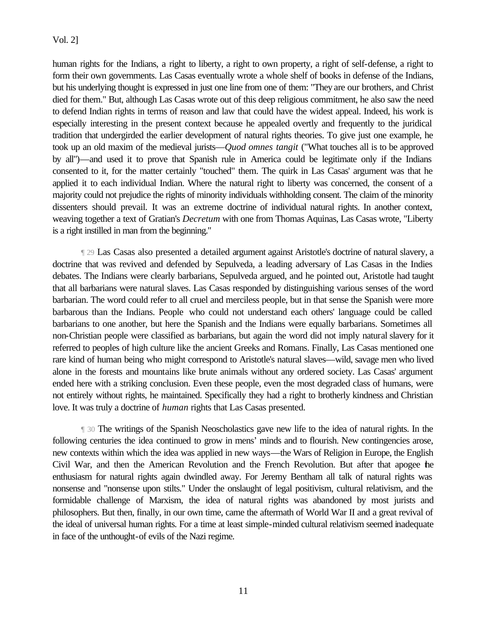human rights for the Indians, a right to liberty, a right to own property, a right of self-defense, a right to form their own governments. Las Casas eventually wrote a whole shelf of books in defense of the Indians, but his underlying thought is expressed in just one line from one of them: "They are our brothers, and Christ died for them." But, although Las Casas wrote out of this deep religious commitment, he also saw the need to defend Indian rights in terms of reason and law that could have the widest appeal. Indeed, his work is especially interesting in the present context because he appealed overtly and frequently to the juridical tradition that undergirded the earlier development of natural rights theories. To give just one example, he took up an old maxim of the medieval jurists—*Quod omnes tangit* ("What touches all is to be approved by all")—and used it to prove that Spanish rule in America could be legitimate only if the Indians consented to it, for the matter certainly "touched" them. The quirk in Las Casas' argument was that he applied it to each individual Indian. Where the natural right to liberty was concerned, the consent of a majority could not prejudice the rights of minority individuals withholding consent. The claim of the minority dissenters should prevail. It was an extreme doctrine of individual natural rights. In another context, weaving together a text of Gratian's *Decretum* with one from Thomas Aquinas, Las Casas wrote, "Liberty is a right instilled in man from the beginning."

 ¶ 29 Las Casas also presented a detailed argument against Aristotle's doctrine of natural slavery, a doctrine that was revived and defended by Sepulveda, a leading adversary of Las Casas in the Indies debates. The Indians were clearly barbarians, Sepulveda argued, and he pointed out, Aristotle had taught that all barbarians were natural slaves. Las Casas responded by distinguishing various senses of the word barbarian. The word could refer to all cruel and merciless people, but in that sense the Spanish were more barbarous than the Indians. People who could not understand each others' language could be called barbarians to one another, but here the Spanish and the Indians were equally barbarians. Sometimes all non-Christian people were classified as barbarians, but again the word did not imply natural slavery for it referred to peoples of high culture like the ancient Greeks and Romans. Finally, Las Casas mentioned one rare kind of human being who might correspond to Aristotle's natural slaves—wild, savage men who lived alone in the forests and mountains like brute animals without any ordered society. Las Casas' argument ended here with a striking conclusion. Even these people, even the most degraded class of humans, were not entirely without rights, he maintained. Specifically they had a right to brotherly kindness and Christian love. It was truly a doctrine of *human* rights that Las Casas presented.

 ¶ 30 The writings of the Spanish Neoscholastics gave new life to the idea of natural rights. In the following centuries the idea continued to grow in mens' minds and to flourish. New contingencies arose, new contexts within which the idea was applied in new ways—the Wars of Religion in Europe, the English Civil War, and then the American Revolution and the French Revolution. But after that apogee the enthusiasm for natural rights again dwindled away. For Jeremy Bentham all talk of natural rights was nonsense and "nonsense upon stilts." Under the onslaught of legal positivism, cultural relativism, and the formidable challenge of Marxism, the idea of natural rights was abandoned by most jurists and philosophers. But then, finally, in our own time, came the aftermath of World War II and a great revival of the ideal of universal human rights. For a time at least simple-minded cultural relativism seemed inadequate in face of the unthought-of evils of the Nazi regime.